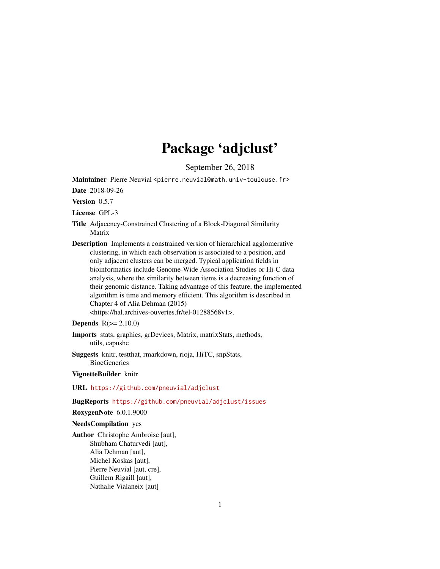## Package 'adjclust'

September 26, 2018

<span id="page-0-0"></span>Maintainer Pierre Neuvial <pierre.neuvial@math.univ-toulouse.fr>

Date 2018-09-26

Version 0.5.7

License GPL-3

- Title Adjacency-Constrained Clustering of a Block-Diagonal Similarity Matrix
- Description Implements a constrained version of hierarchical agglomerative clustering, in which each observation is associated to a position, and only adjacent clusters can be merged. Typical application fields in bioinformatics include Genome-Wide Association Studies or Hi-C data analysis, where the similarity between items is a decreasing function of their genomic distance. Taking advantage of this feature, the implemented algorithm is time and memory efficient. This algorithm is described in Chapter 4 of Alia Dehman (2015) <https://hal.archives-ouvertes.fr/tel-01288568v1>.

#### **Depends**  $R(>= 2.10.0)$

- Imports stats, graphics, grDevices, Matrix, matrixStats, methods, utils, capushe
- Suggests knitr, testthat, rmarkdown, rioja, HiTC, snpStats, **BiocGenerics**

#### VignetteBuilder knitr

#### URL <https://github.com/pneuvial/adjclust>

#### BugReports <https://github.com/pneuvial/adjclust/issues>

RoxygenNote 6.0.1.9000

#### NeedsCompilation yes

Author Christophe Ambroise [aut], Shubham Chaturvedi [aut], Alia Dehman [aut], Michel Koskas [aut], Pierre Neuvial [aut, cre], Guillem Rigaill [aut], Nathalie Vialaneix [aut]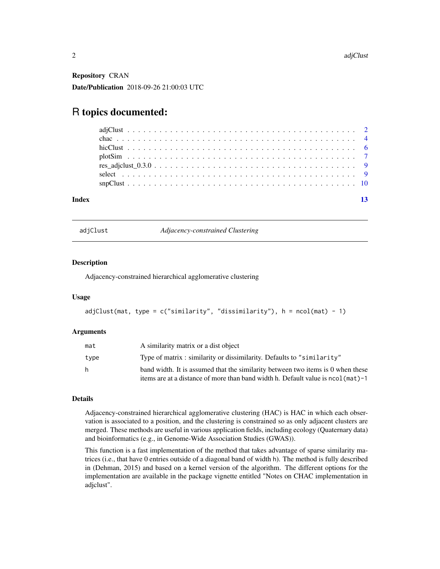<span id="page-1-0"></span>Repository CRAN Date/Publication 2018-09-26 21:00:03 UTC

### R topics documented:

| Index |  |  |  |  |  |  |  |  |  |  |  |  |  |  |  |  |  |  |
|-------|--|--|--|--|--|--|--|--|--|--|--|--|--|--|--|--|--|--|

<span id="page-1-1"></span>

| adjClust |  |
|----------|--|
|          |  |

**Adjacency-constrained Clustering** 

#### Description

Adjacency-constrained hierarchical agglomerative clustering

#### Usage

```
adjClust(mat, type = c("similarity", "dissimilarity"), h = ncol(mat) - 1)
```
#### Arguments

| mat  | A similarity matrix or a dist object                                              |
|------|-----------------------------------------------------------------------------------|
| type | Type of matrix: similarity or dissimilarity. Defaults to "similarity"             |
| h.   | band width. It is assumed that the similarity between two items is 0 when these   |
|      | items are at a distance of more than band width h. Default value is nool (mat) -1 |

#### Details

Adjacency-constrained hierarchical agglomerative clustering (HAC) is HAC in which each observation is associated to a position, and the clustering is constrained so as only adjacent clusters are merged. These methods are useful in various application fields, including ecology (Quaternary data) and bioinformatics (e.g., in Genome-Wide Association Studies (GWAS)).

This function is a fast implementation of the method that takes advantage of sparse similarity matrices (i.e., that have 0 entries outside of a diagonal band of width h). The method is fully described in (Dehman, 2015) and based on a kernel version of the algorithm. The different options for the implementation are available in the package vignette entitled "Notes on CHAC implementation in adjclust".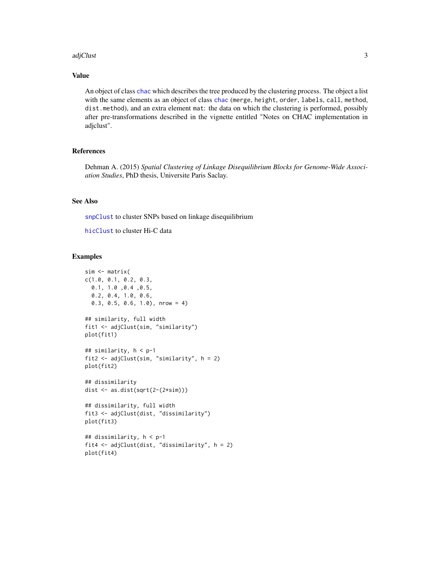#### <span id="page-2-0"></span>adjClust 3

#### Value

An object of class [chac](#page-3-1) which describes the tree produced by the clustering process. The object a list with the same elements as an object of class [chac](#page-3-1) (merge, height, order, labels, call, method, dist.method), and an extra element mat: the data on which the clustering is performed, possibly after pre-transformations described in the vignette entitled "Notes on CHAC implementation in adjclust".

#### References

Dehman A. (2015) *Spatial Clustering of Linkage Disequilibrium Blocks for Genome-Wide Association Studies*, PhD thesis, Universite Paris Saclay.

#### See Also

[snpClust](#page-9-1) to cluster SNPs based on linkage disequilibrium

[hicClust](#page-5-1) to cluster Hi-C data

#### Examples

```
sim <- matrix(
c(1.0, 0.1, 0.2, 0.3,
 0.1, 1.0 ,0.4 ,0.5,
  0.2, 0.4, 1.0, 0.6,
  0.3, 0.5, 0.6, 1.0), nrow = 4)
## similarity, full width
fit1 <- adjClust(sim, "similarity")
plot(fit1)
## similarity, h < p-1
fit2 <- adjClust(sim, "similarity", h = 2)
plot(fit2)
## dissimilarity
dist <- as.dist(sqrt(2-(2*sim)))
## dissimilarity, full width
fit3 <- adjClust(dist, "dissimilarity")
plot(fit3)
## dissimilarity, h < p-1
fit4 <- adjClust(dist, "dissimilarity", h = 2)
plot(fit4)
```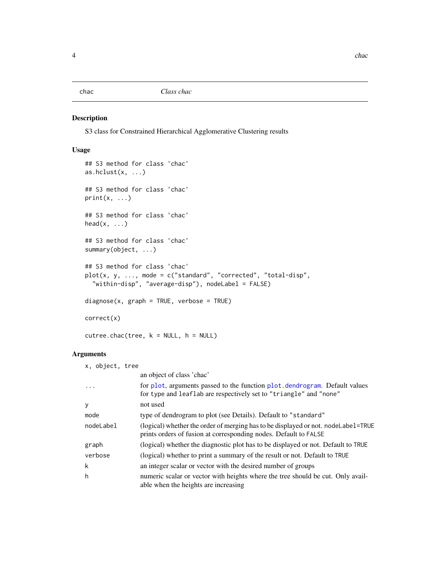<span id="page-3-1"></span><span id="page-3-0"></span>

#### <span id="page-3-2"></span>Description

S3 class for Constrained Hierarchical Agglomerative Clustering results

#### Usage

```
## S3 method for class 'chac'
as.hclust(x, \ldots)## S3 method for class 'chac'
print(x, \ldots)## S3 method for class 'chac'
head(x, \ldots)## S3 method for class 'chac'
summary(object, ...)
## S3 method for class 'chac'
plot(x, y, ..., mode = c("standard", "corrected", "total-disp",
  "within-disp", "average-disp"), nodeLabel = FALSE)
diagnose(x, graph = TRUE, verbose = TRUE)correct(x)
cutree.chac(tree, k = NULL, h = NULL)
```

| x, object, tree |                                                                                                                                                       |
|-----------------|-------------------------------------------------------------------------------------------------------------------------------------------------------|
|                 | an object of class 'chac'                                                                                                                             |
| $\cdot$         | for plot, arguments passed to the function plot, dendrogram. Default values<br>for type and leaflab are respectively set to "triangle" and "none"     |
| y               | not used                                                                                                                                              |
| mode            | type of dendrogram to plot (see Details). Default to "standard"                                                                                       |
| nodeLabel       | (logical) whether the order of merging has to be displayed or not. nodeLabel=TRUE<br>prints orders of fusion at corresponding nodes. Default to FALSE |
| graph           | (logical) whether the diagnostic plot has to be displayed or not. Default to TRUE                                                                     |
| verbose         | (logical) whether to print a summary of the result or not. Default to TRUE                                                                            |
| k               | an integer scalar or vector with the desired number of groups                                                                                         |
| h               | numeric scalar or vector with heights where the tree should be cut. Only avail-<br>able when the heights are increasing                               |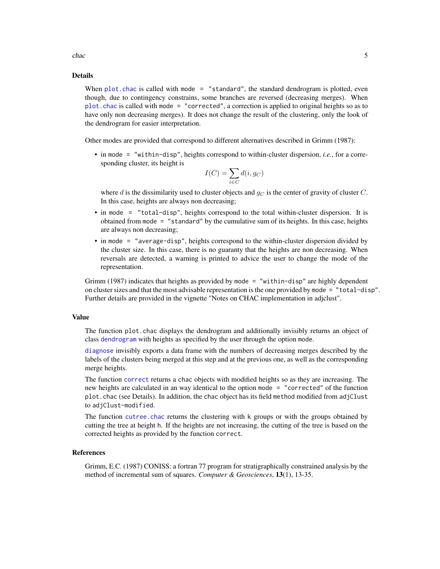<span id="page-4-0"></span>chac 5 and 5 and 5 and 5 and 5 and 5 and 5 and 5 and 5 and 5 and 5 and 5 and 5 and 5 and 5 and 5 and 5 and 5 and 5 and 5 and 5 and 5 and 5 and 5 and 5 and 5 and 5 and 5 and 5 and 5 and 5 and 5 and 5 and 5 and 5 and 5 and 5

#### Details

When  $plot$ , chac is called with mode = "standard", the standard dendrogram is plotted, even though, due to contingency constrains, some branches are reversed (decreasing merges). When [plot.chac](#page-3-2) is called with mode = "corrected", a correction is applied to original heights so as to have only non decreasing merges). It does not change the result of the clustering, only the look of the dendrogram for easier interpretation.

Other modes are provided that correspond to different alternatives described in Grimm (1987):

• in mode = "within-disp", heights correspond to within-cluster dispersion, *i.e.*, for a corresponding cluster, its height is

$$
I(C) = \sum_{i \in C} d(i, g_C)
$$

where d is the dissimilarity used to cluster objects and  $g_C$  is the center of gravity of cluster C. In this case, heights are always non decreasing;

- in mode = "total-disp", heights correspond to the total within-cluster dispersion. It is obtained from mode = "standard" by the cumulative sum of its heights. In this case, heights are always non decreasing;
- in mode = "average-disp", heights correspond to the within-cluster dispersion divided by the cluster size. In this case, there is no guaranty that the heights are non decreasing. When reversals are detected, a warning is printed to advice the user to change the mode of the representation.

Grimm (1987) indicates that heights as provided by mode = "within-disp" are highly dependent on cluster sizes and that the most advisable representation is the one provided by mode = "total-disp". Further details are provided in the vignette "Notes on CHAC implementation in adjclust".

#### Value

The function plot.chac displays the dendrogram and additionally invisibly returns an object of class [dendrogram](#page-0-0) with heights as specified by the user through the option mode.

[diagnose](#page-3-2) invisibly exports a data frame with the numbers of decreasing merges described by the labels of the clusters being merged at this step and at the previous one, as well as the corresponding merge heights.

The function [correct](#page-3-2) returns a chac objects with modified heights so as they are increasing. The new heights are calculated in an way identical to the option mode = "corrected" of the function plot.chac (see Details). In addition, the chac object has its field method modified from adjClust to adjClust-modified.

The function [cutree.chac](#page-3-2) returns the clustering with k groups or with the groups obtained by cutting the tree at height h. If the heights are not increasing, the cutting of the tree is based on the corrected heights as provided by the function correct.

#### References

Grimm, E.C. (1987) CONISS: a fortran 77 program for stratigraphically constrained analysis by the method of incremental sum of squares. *Computer & Geosciences*, 13(1), 13-35.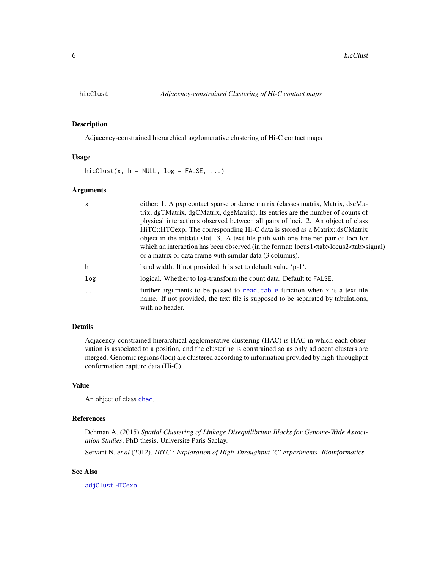<span id="page-5-1"></span><span id="page-5-0"></span>

#### Description

Adjacency-constrained hierarchical agglomerative clustering of Hi-C contact maps

#### Usage

 $hicClust(x, h = NULL, log = FALSE, ...)$ 

#### Arguments

| $\mathsf{x}$ | either: 1. A pxp contact sparse or dense matrix (classes matrix, Matrix, dscMa-                                                                                                       |
|--------------|---------------------------------------------------------------------------------------------------------------------------------------------------------------------------------------|
|              | trix, dgTMatrix, dgCMatrix, dgeMatrix). Its entries are the number of counts of                                                                                                       |
|              | physical interactions observed between all pairs of loci. 2. An object of class                                                                                                       |
|              | HiTC::HTCexp. The corresponding Hi-C data is stored as a Matrix::dsCMatrix                                                                                                            |
|              | object in the intidata slot. 3. A text file path with one line per pair of loci for                                                                                                   |
|              | which an interaction has been observed (in the format: locus1 <tab>locus2<tab>signal)</tab></tab>                                                                                     |
|              | or a matrix or data frame with similar data (3 columns).                                                                                                                              |
| h            | band width. If not provided, h is set to default value ' $p-1'$ .                                                                                                                     |
| log          | logical. Whether to log-transform the count data. Default to FALSE.                                                                                                                   |
| .            | further arguments to be passed to read, table function when $x$ is a text file<br>name. If not provided, the text file is supposed to be separated by tabulations,<br>with no header. |

#### Details

Adjacency-constrained hierarchical agglomerative clustering (HAC) is HAC in which each observation is associated to a position, and the clustering is constrained so as only adjacent clusters are merged. Genomic regions (loci) are clustered according to information provided by high-throughput conformation capture data (Hi-C).

#### Value

An object of class [chac](#page-3-1).

#### References

Dehman A. (2015) *Spatial Clustering of Linkage Disequilibrium Blocks for Genome-Wide Association Studies*, PhD thesis, Universite Paris Saclay.

Servant N. *et al* (2012). *HiTC : Exploration of High-Throughput 'C' experiments. Bioinformatics*.

#### See Also

[adjClust](#page-1-1) [HTCexp](#page-0-0)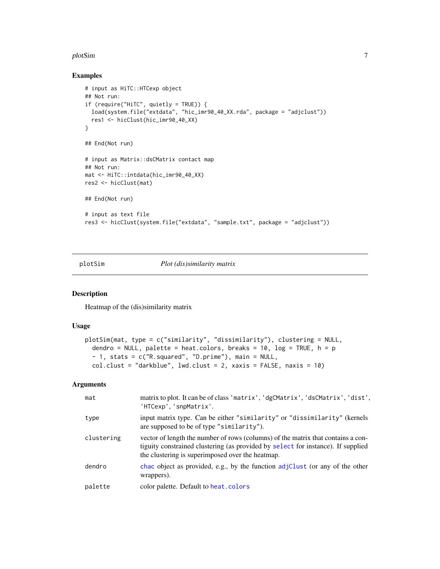#### <span id="page-6-0"></span>plotSim and the contract of the contract of the contract of the contract of the contract of the contract of the contract of the contract of the contract of the contract of the contract of the contract of the contract of th

#### Examples

```
# input as HiTC::HTCexp object
## Not run:
if (require("HiTC", quietly = TRUE)) {
 load(system.file("extdata", "hic_imr90_40_XX.rda", package = "adjclust"))
  res1 <- hicClust(hic_imr90_40_XX)
}
## End(Not run)
# input as Matrix::dsCMatrix contact map
## Not run:
mat <- HiTC::intdata(hic_imr90_40_XX)
res2 <- hicClust(mat)
## End(Not run)
# input as text file
res3 <- hicClust(system.file("extdata", "sample.txt", package = "adjclust"))
```
plotSim *Plot (dis)similarity matrix*

#### Description

Heatmap of the (dis)similarity matrix

#### Usage

```
plotSim(mat, type = c("similarity", "dissimilarity"), clustering = NULL,
  dendro = NULL, palette = heat.colors, breaks = 10, log = TRUE, h = p- 1, stats = c("R.squared", "D.prime"), main = NULL,
  col.clust = "darkblue", \text{lwd.clust} = 2, \text{xxis} = FALSE, \text{maxis} = 10)
```

| mat        | matrix to plot. It can be of class 'matrix', 'dgCMatrix', 'dsCMatrix', 'dist',<br>'HTCexp', 'snpMatrix'.                                                                                                                 |
|------------|--------------------------------------------------------------------------------------------------------------------------------------------------------------------------------------------------------------------------|
| type       | input matrix type. Can be either "similarity" or "dissimilarity" (kernels<br>are supposed to be of type "similarity").                                                                                                   |
| clustering | vector of length the number of rows (columns) of the matrix that contains a con-<br>tiguity constrained clustering (as provided by select for instance). If supplied<br>the clustering is superimposed over the heatmap. |
| dendro     | chac object as provided, e.g., by the function adjClust (or any of the other<br>wrappers).                                                                                                                               |
| palette    | color palette. Default to heat. colors                                                                                                                                                                                   |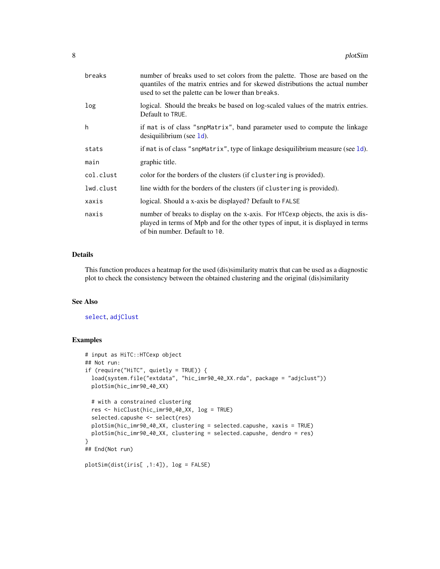<span id="page-7-0"></span>

| breaks    | number of breaks used to set colors from the palette. Those are based on the<br>quantiles of the matrix entries and for skewed distributions the actual number<br>used to set the palette can be lower than breaks. |
|-----------|---------------------------------------------------------------------------------------------------------------------------------------------------------------------------------------------------------------------|
| log       | logical. Should the breaks be based on log-scaled values of the matrix entries.<br>Default to TRUE.                                                                                                                 |
| h         | if mat is of class "snpMatrix", band parameter used to compute the linkage<br>$desiquilibrium$ (see $1d$ ).                                                                                                         |
| stats     | if mat is of class "snpMatrix", type of linkage desiquilibrium measure (see $1d$ ).                                                                                                                                 |
| main      | graphic title.                                                                                                                                                                                                      |
| col.clust | color for the borders of the clusters (if clustering is provided).                                                                                                                                                  |
| lwd.clust | line width for the borders of the clusters (if clustering is provided).                                                                                                                                             |
| xaxis     | logical. Should a x-axis be displayed? Default to FALSE                                                                                                                                                             |
| naxis     | number of breaks to display on the x-axis. For HTCexp objects, the axis is dis-<br>played in terms of Mpb and for the other types of input, it is displayed in terms<br>of bin number. Default to 10.               |

#### Details

This function produces a heatmap for the used (dis)similarity matrix that can be used as a diagnostic plot to check the consistency between the obtained clustering and the original (dis)similarity

#### See Also

#### [select](#page-8-1), [adjClust](#page-1-1)

#### Examples

```
# input as HiTC::HTCexp object
## Not run:
if (require("HiTC", quietly = TRUE)) {
  load(system.file("extdata", "hic_imr90_40_XX.rda", package = "adjclust"))
  plotSim(hic_imr90_40_XX)
  # with a constrained clustering
  res <- hicClust(hic_imr90_40_XX, log = TRUE)
  selected.capushe <- select(res)
  plotSim(hic_imr90_40_XX, clustering = selected.capushe, xaxis = TRUE)
  plotSim(hic_imr90_40_XX, clustering = selected.capushe, dendro = res)
}
## End(Not run)
plotSim(dist(iris[ ,1:4]), log = FALSE)
```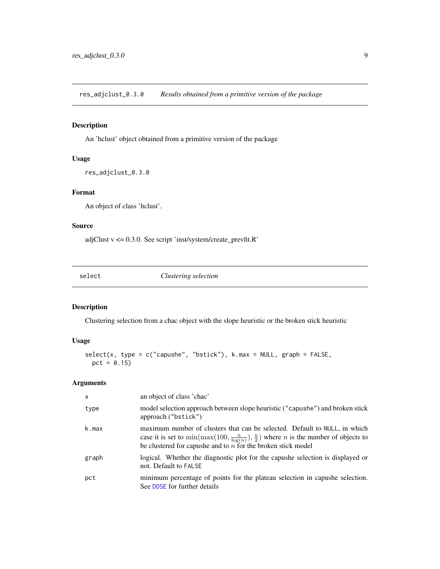<span id="page-8-0"></span>res\_adjclust\_0.3.0 *Results obtained from a primitive version of the package*

#### Description

An 'hclust' object obtained from a primitive version of the package

#### Usage

```
res_adjclust_0.3.0
```
#### Format

An object of class 'hclust'.

#### Source

adjClust v <= 0.3.0. See script 'inst/system/create\_prevfit.R'

<span id="page-8-1"></span>

| Clustering selection<br>select |
|--------------------------------|
|--------------------------------|

#### Description

Clustering selection from a chac object with the slope heuristic or the broken stick heuristic

#### Usage

```
select(x, type = c("capushe", "bstick"), k.max = NULL, graph = FALSE,pct = 0.15)
```

| $\mathsf{x}$ | an object of class 'chac'                                                                                                                                                                                                                                      |
|--------------|----------------------------------------------------------------------------------------------------------------------------------------------------------------------------------------------------------------------------------------------------------------|
| type         | model selection approach between slope heuristic ("capushe") and broken stick<br>approach ("bstick")                                                                                                                                                           |
| k.max        | maximum number of clusters that can be selected. Default to NULL, in which<br>case it is set to $\min(\max(100, \frac{n}{\log(n)}), \frac{n}{2})$ where <i>n</i> is the number of objects to<br>be clustered for capushe and to $n$ for the broken stick model |
| graph        | logical. Whether the diagnostic plot for the capushe selection is displayed or<br>not. Default to FALSE                                                                                                                                                        |
| pct          | minimum percentage of points for the plateau selection in capushe selection.<br>See DDSE for further details                                                                                                                                                   |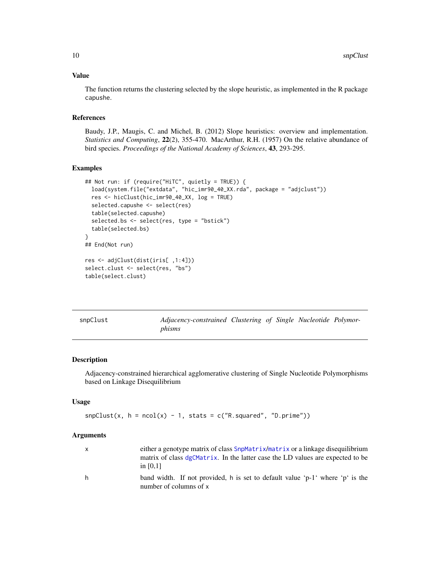#### <span id="page-9-0"></span>Value

The function returns the clustering selected by the slope heuristic, as implemented in the R package capushe.

#### References

Baudy, J.P., Maugis, C. and Michel, B. (2012) Slope heuristics: overview and implementation. *Statistics and Computing*, 22(2), 355-470. MacArthur, R.H. (1957) On the relative abundance of bird species. *Proceedings of the National Academy of Sciences*, 43, 293-295.

#### Examples

```
## Not run: if (require("HiTC", quietly = TRUE)) {
  load(system.file("extdata", "hic_imr90_40_XX.rda", package = "adjclust"))
  res <- hicClust(hic_imr90_40_XX, log = TRUE)
  selected.capushe <- select(res)
  table(selected.capushe)
  selected.bs <- select(res, type = "bstick")
  table(selected.bs)
}
## End(Not run)
res <- adjClust(dist(iris[ ,1:4]))
select.clust <- select(res, "bs")
table(select.clust)
```
<span id="page-9-1"></span>

| snpClust | Adjacency-constrained Clustering of Single Nucleotide Polymor- |  |  |  |
|----------|----------------------------------------------------------------|--|--|--|
|          | phisms                                                         |  |  |  |

#### Description

Adjacency-constrained hierarchical agglomerative clustering of Single Nucleotide Polymorphisms based on Linkage Disequilibrium

#### Usage

```
snpClust(x, h = ncol(x) - 1, stats = c("R.squared", "D.print"))
```

|   | either a genotype matrix of class SnpMatrix/matrix or a linkage disequilibrium |
|---|--------------------------------------------------------------------------------|
|   | matrix of class dgCMatrix. In the latter case the LD values are expected to be |
|   | in $[0.1]$                                                                     |
| h | band width. If not provided, h is set to default value 'p-1' where 'p' is the  |
|   | number of columns of x                                                         |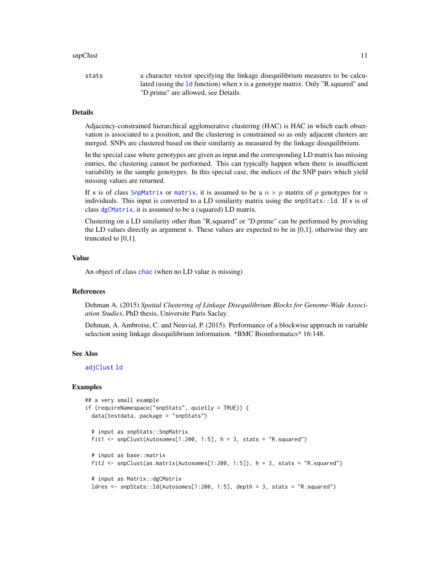#### <span id="page-10-0"></span> $\mathsf{spClust}$  11

stats a character vector specifying the linkage disequilibrium measures to be calculated (using the [ld](#page-0-0) function) when x is a genotype matrix. Only "R.squared" and "D.prime" are allowed, see Details.

#### **Details**

Adjacency-constrained hierarchical agglomerative clustering (HAC) is HAC in which each observation is associated to a position, and the clustering is constrained so as only adjacent clusters are merged. SNPs are clustered based on their similarity as measured by the linkage disequilibrium.

In the special case where genotypes are given as input and the corresponding LD matrix has missing entries, the clustering cannot be performed. This can typically happen when there is insufficient variability in the sample genotypes. In this special case, the indices of the SNP pairs which yield missing values are returned.

If x is of class [SnpMatrix](#page-0-0) or [matrix](#page-0-0), it is assumed to be a  $n \times p$  matrix of p genotypes for n individuals. This input is converted to a LD similarity matrix using the snpStats::1d. If  $x$  is of class [dgCMatrix](#page-0-0), it is assumed to be a (squared) LD matrix.

Clustering on a LD similarity other than "R.squared" or "D.prime" can be performed by providing the LD values directly as argument x. These values are expected to be in [0,1], otherwise they are truncated to  $[0,1]$ .

#### Value

An object of class [chac](#page-3-1) (when no LD value is missing)

#### References

Dehman A. (2015) *Spatial Clustering of Linkage Disequilibrium Blocks for Genome-Wide Association Studies*, PhD thesis, Universite Paris Saclay.

Dehman, A. Ambroise, C. and Neuvial, P. (2015). Performance of a blockwise approach in variable selection using linkage disequilibrium information. \*BMC Bioinformatics\* 16:148.

#### See Also

[adjClust](#page-1-1) [ld](#page-0-0)

#### Examples

```
## a very small example
if (requireNamespace("snpStats", quietly = TRUE)) {
 data(testdata, package = "snpStats")
 # input as snpStats::SnpMatrix
 fit1 <- snpClust(Autosomes[1:200, 1:5], h = 3, stats = "R.squared")
 # input as base::matrix
 fit2 <- snpClust(as.matrix(Autosomes[1:200, 1:5]), h = 3, stats = "R.squared")
 # input as Matrix::dgCMatrix
 ldres <- snpStats::ld(Autosomes[1:200, 1:5], depth = 3, stats = "R.squared")
```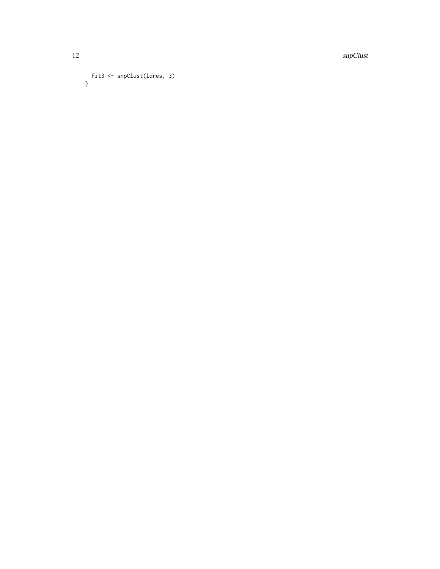12 snpClust

```
fit3 <- snpClust(ldres, 3)
}
```